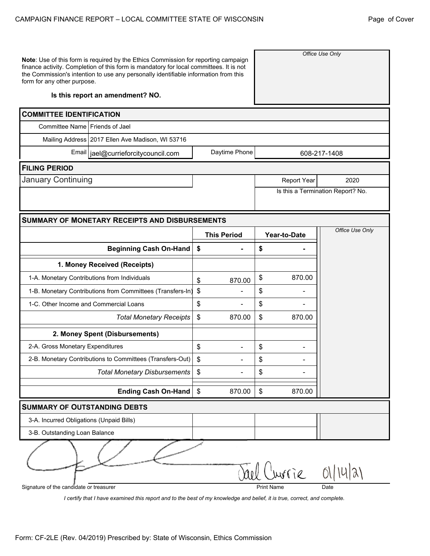*Office Use Only*

**Note**: Use of this form is required by the Ethics Commission for reporting campaign finance activity. Completion of this form is mandatory for local committees. It is not the Commission's intention to use any personally identifiable information from this form for any other purpose.

## **Is this report an amendment? NO.**

| <b>COMMITTEE IDENTIFICATION</b>                            |                           |                    |    |                   |                                   |  |  |  |  |  |  |
|------------------------------------------------------------|---------------------------|--------------------|----|-------------------|-----------------------------------|--|--|--|--|--|--|
| Committee Name   Friends of Jael                           |                           |                    |    |                   |                                   |  |  |  |  |  |  |
| Mailing Address 2017 Ellen Ave Madison, WI 53716           |                           |                    |    |                   |                                   |  |  |  |  |  |  |
| Email   jael@currieforcitycouncil.com                      |                           | Daytime Phone      |    |                   | 608-217-1408                      |  |  |  |  |  |  |
| <b>FILING PERIOD</b>                                       |                           |                    |    |                   |                                   |  |  |  |  |  |  |
| January Continuing                                         |                           |                    |    | Report Year       | 2020                              |  |  |  |  |  |  |
|                                                            |                           |                    |    |                   | Is this a Termination Report? No. |  |  |  |  |  |  |
|                                                            |                           |                    |    |                   |                                   |  |  |  |  |  |  |
| <b>SUMMARY OF MONETARY RECEIPTS AND DISBURSEMENTS</b>      |                           |                    |    |                   | Office Use Only                   |  |  |  |  |  |  |
|                                                            |                           | <b>This Period</b> |    | Year-to-Date      |                                   |  |  |  |  |  |  |
| Beginning Cash On-Hand                                     | $\boldsymbol{\mathsf{s}}$ |                    | \$ |                   |                                   |  |  |  |  |  |  |
| 1. Money Received (Receipts)                               |                           |                    |    |                   |                                   |  |  |  |  |  |  |
| 1-A. Monetary Contributions from Individuals               |                           | 870.00             | \$ | 870.00            |                                   |  |  |  |  |  |  |
| 1-B. Monetary Contributions from Committees (Transfers-In) |                           |                    | \$ |                   |                                   |  |  |  |  |  |  |
| 1-C. Other Income and Commercial Loans                     |                           |                    | \$ |                   |                                   |  |  |  |  |  |  |
| <b>Total Monetary Receipts</b>                             | \$                        | 870.00             | \$ | 870.00            |                                   |  |  |  |  |  |  |
| 2. Money Spent (Disbursements)                             |                           |                    |    |                   |                                   |  |  |  |  |  |  |
| 2-A. Gross Monetary Expenditures                           | \$                        |                    | \$ |                   |                                   |  |  |  |  |  |  |
| 2-B. Monetary Contributions to Committees (Transfers-Out)  | \$                        |                    | \$ |                   |                                   |  |  |  |  |  |  |
| <b>Total Monetary Disbursements</b>                        | \$                        |                    | \$ |                   |                                   |  |  |  |  |  |  |
| <b>Ending Cash On-Hand</b>                                 | \$                        | 870.00             | \$ | 870.00            |                                   |  |  |  |  |  |  |
| <b>SUMMARY OF OUTSTANDING DEBTS</b>                        |                           |                    |    |                   |                                   |  |  |  |  |  |  |
| 3-A. Incurred Obligations (Unpaid Bills)                   |                           |                    |    |                   |                                   |  |  |  |  |  |  |
| 3-B. Outstanding Loan Balance                              |                           |                    |    |                   |                                   |  |  |  |  |  |  |
|                                                            |                           |                    |    |                   |                                   |  |  |  |  |  |  |
|                                                            |                           | ael                |    | Invrie            | U(x)                              |  |  |  |  |  |  |
| Signature of the candidate or treasurer                    |                           |                    |    | <b>Print Name</b> | Date                              |  |  |  |  |  |  |

*I certify that I have examined this report and to the best of my knowledge and belief, it is true, correct, and complete.*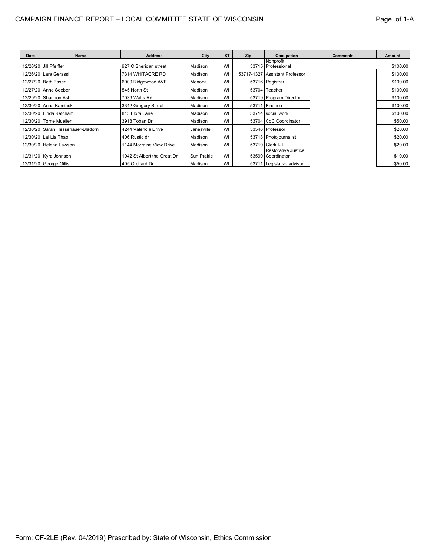| Date | <b>Name</b>                         | <b>Address</b>              | City        | <b>ST</b> | Zip | Occupation                               | <b>Comments</b> | Amount   |
|------|-------------------------------------|-----------------------------|-------------|-----------|-----|------------------------------------------|-----------------|----------|
|      | 12/26/20 Jill Pfeiffer              | 927 O'Sheridan street       | Madison     | WI        |     | Nonprofit<br>53715   Professional        |                 | \$100.00 |
|      | 12/26/20   Lara Gerassi             | 7314 WHITACRE RD            | Madison     | WI        |     | 53717-1327 Assistant Professor           |                 | \$100.00 |
|      | 12/27/20 Beth Esser                 | 6009 Ridgewood AVE          | Monona      | WI        |     | 53716 Registrar                          |                 | \$100.00 |
|      | 12/27/20   Anne Seeber              | 545 North St                | Madison     | WI        |     | 53704 Teacher                            |                 | \$100.00 |
|      | 12/29/20   Shannon Ash              | 7039 Watts Rd               | Madison     | WI        |     | 53719 Program Director                   |                 | \$100.00 |
|      | 12/30/20   Anna Kaminski            | 3342 Gregory Street         | Madison     | WI        |     | $53711$ Finance                          |                 | \$100.00 |
|      | 12/30/20   Linda Ketcham            | 813 Flora Lane              | Madison     | WI        |     | 53714 social work                        |                 | \$100.00 |
|      | 12/30/20 Torrie Mueller             | 3918 Toban Dr.              | Madison     | WI        |     | 53704 CoC Coordinator                    |                 | \$50.00  |
|      | 12/30/20   Sarah Hessenauer-Bladorn | 4244 Valencia Drive         | Janesville  | WI        |     | 53546   Professor                        |                 | \$20.00  |
|      | 12/30/20   Lai Lia Thao             | 406 Rustic dr               | Madison     | WI        |     | 53718   Photojournalist                  |                 | \$20.00  |
|      | 12/30/20 Helena Lawson              | 1144 Morraine View Drive    | Madison     | WI        |     | 53719 Clerk I-II                         |                 | \$20.00  |
|      | 12/31/20   Kyra Johnson             | 1042 St Albert the Great Dr | Sun Prairie | WI        |     | Restorative Justice<br>53590 Coordinator |                 | \$10.00  |
|      | 12/31/20 George Gillis              | 405 Orchard Dr              | Madison     | WI        |     | 53711 Legislative advisor                |                 | \$50.00  |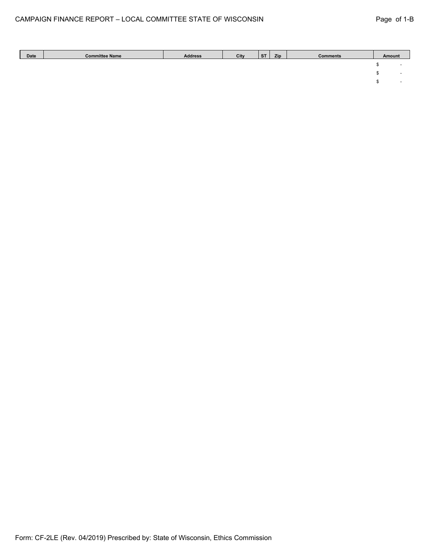| Date | <b>Committee Name</b> | <b>Address</b> | City | <b>ST</b> | Zip | <b>Comments</b> | Amount                   |
|------|-----------------------|----------------|------|-----------|-----|-----------------|--------------------------|
|      |                       |                |      |           |     |                 | -                        |
|      |                       |                |      |           |     |                 | $\overline{\phantom{a}}$ |
|      |                       |                |      |           |     |                 | -                        |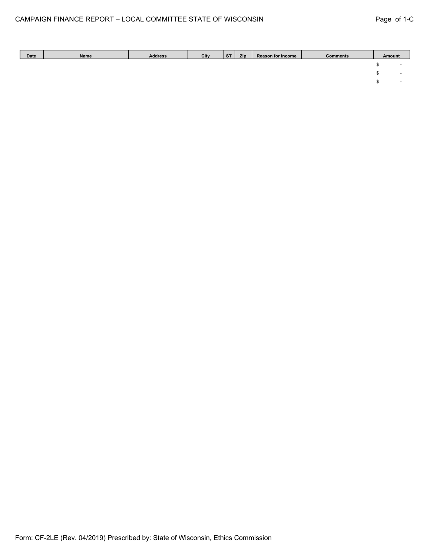| Date | Name | <b>Address</b> | City | <b>ST</b> | Zip | <b>Reason for Income</b> | <b>Comments</b> | Amount |  |
|------|------|----------------|------|-----------|-----|--------------------------|-----------------|--------|--|
|      |      |                |      |           |     |                          |                 |        |  |
|      |      |                |      |           |     |                          |                 |        |  |
|      |      |                |      |           |     |                          |                 |        |  |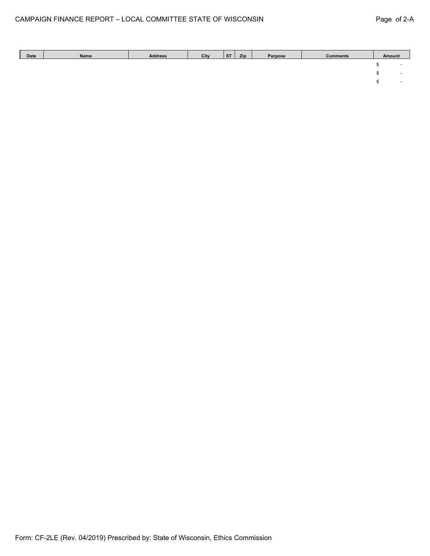| Date | Name | <b>Address</b> | City | <b>ST</b> | Zip | <b>Purpose</b> | <b>Comments</b> | Amount |  |
|------|------|----------------|------|-----------|-----|----------------|-----------------|--------|--|
|      |      |                |      |           |     |                |                 |        |  |
|      |      |                |      |           |     |                |                 |        |  |
|      |      |                |      |           |     |                |                 |        |  |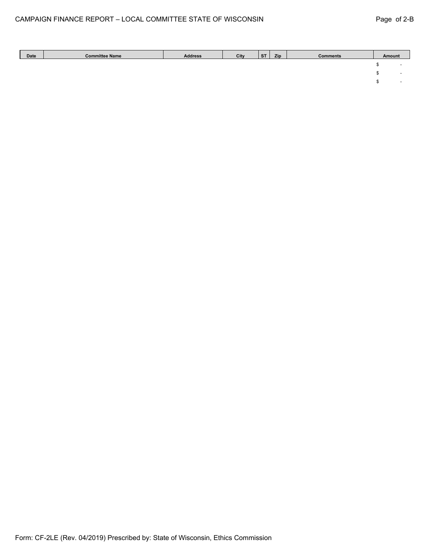| Date | <b>Committee Name</b> | <b>Address</b> | City | <b>ST</b> | Zip | <b>Comments</b> | Amount                   |
|------|-----------------------|----------------|------|-----------|-----|-----------------|--------------------------|
|      |                       |                |      |           |     |                 | -                        |
|      |                       |                |      |           |     |                 | $\overline{\phantom{0}}$ |
|      |                       |                |      |           |     |                 | $\overline{\phantom{0}}$ |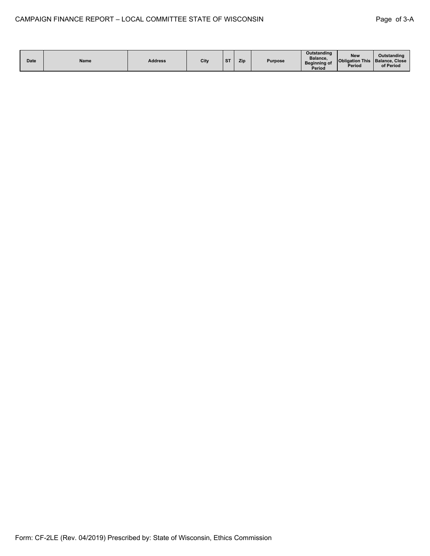| <b>Date</b> | Name | <b>Address</b> | City | C <sub>T</sub> | Zip | Purpose | <b>Outstanding</b><br>Balance.<br>Beginning of<br>Period | <b>New</b><br>Obligation This   Balance, Close<br><b>Period</b> | Outstanding<br>of Period |
|-------------|------|----------------|------|----------------|-----|---------|----------------------------------------------------------|-----------------------------------------------------------------|--------------------------|
|-------------|------|----------------|------|----------------|-----|---------|----------------------------------------------------------|-----------------------------------------------------------------|--------------------------|